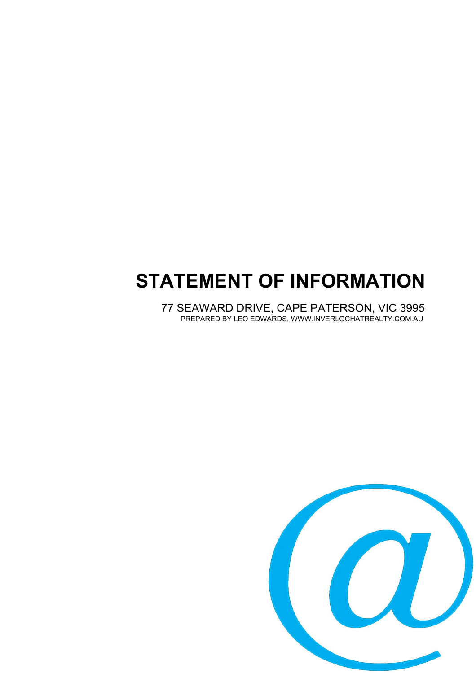# **STATEMENT OF INFORMATION**

77 SEAWARD DRIVE, CAPE PATERSON, VIC 3995 PREPARED BY LEO EDWARDS, WWW.INVERLOCHATREALTY.COM.AU

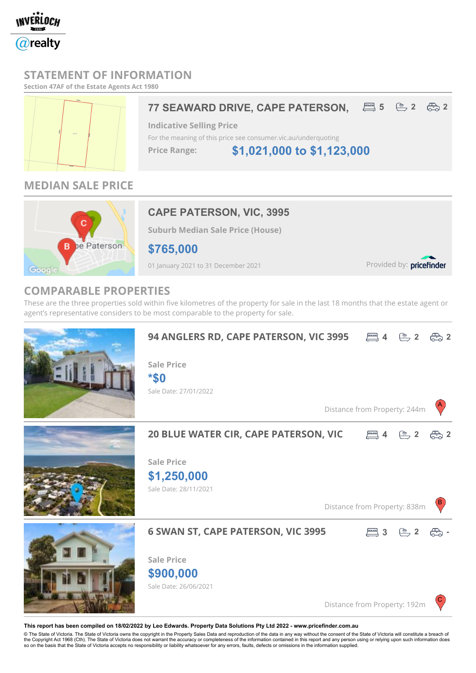

### **STATEMENT OF INFORMATION**

**Section 47AF of the Estate Agents Act 1980**



# **77 SEAWARD DRIVE, CAPE PATERSON, And 5**  $\overset{m}{\leftrightarrow}$  2  $\overset{m}{\leftrightarrow}$  2

**Indicative Selling Price** For the meaning of this price see consumer.vic.au/underquoting

**\$1,021,000 to \$1,123,000 Price Range:**

# **MEDIAN SALE PRICE**



# **CAPE PATERSON, VIC, 3995**

**Suburb Median Sale Price (House)**

**\$765,000**

01 January 2021 to 31 December 2021

Provided by: pricefinder

## **COMPARABLE PROPERTIES**

These are the three properties sold within five kilometres of the property for sale in the last 18 months that the estate agent or agent's representative considers to be most comparable to the property for sale.



#### **This report has been compiled on 18/02/2022 by Leo Edwards. Property Data Solutions Pty Ltd 2022 - www.pricefinder.com.au**

© The State of Victoria. The State of Victoria owns the copyright in the Property Sales Data and reproduction of the data in any way without the consent of the State of Victoria will constitute a breach of<br>the Copyright Ac so on the basis that the State of Victoria accepts no responsibility or liability whatsoever for any errors, faults, defects or omissions in the information supplied.